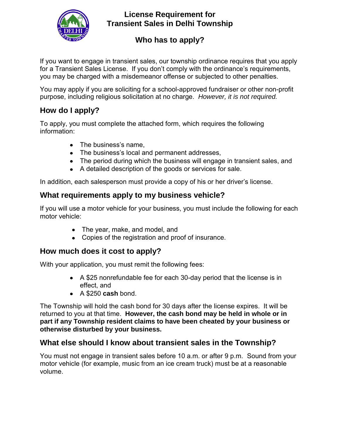

### **License Requirement for Transient Sales in Delhi Township**

# **Who has to apply?**

If you want to engage in transient sales, our township ordinance requires that you apply for a Transient Sales License. If you don't comply with the ordinance's requirements, you may be charged with a misdemeanor offense or subjected to other penalties.

You may apply if you are soliciting for a school-approved fundraiser or other non-profit purpose, including religious solicitation at no charge. *However, it is not required.*

### **How do I apply?**

To apply, you must complete the attached form, which requires the following information:

- The business's name,
- The business's local and permanent addresses,
- The period during which the business will engage in transient sales, and
- A detailed description of the goods or services for sale.

In addition, each salesperson must provide a copy of his or her driver's license.

#### **What requirements apply to my business vehicle?**

If you will use a motor vehicle for your business, you must include the following for each motor vehicle:

- The year, make, and model, and
- Copies of the registration and proof of insurance.

# **How much does it cost to apply?**

With your application, you must remit the following fees:

- A \$25 nonrefundable fee for each 30-day period that the license is in effect, and
- A \$250 **cash** bond.

The Township will hold the cash bond for 30 days after the license expires. It will be returned to you at that time. **However, the cash bond may be held in whole or in part if any Township resident claims to have been cheated by your business or otherwise disturbed by your business.**

# **What else should I know about transient sales in the Township?**

You must not engage in transient sales before 10 a.m. or after 9 p.m. Sound from your motor vehicle (for example, music from an ice cream truck) must be at a reasonable volume.